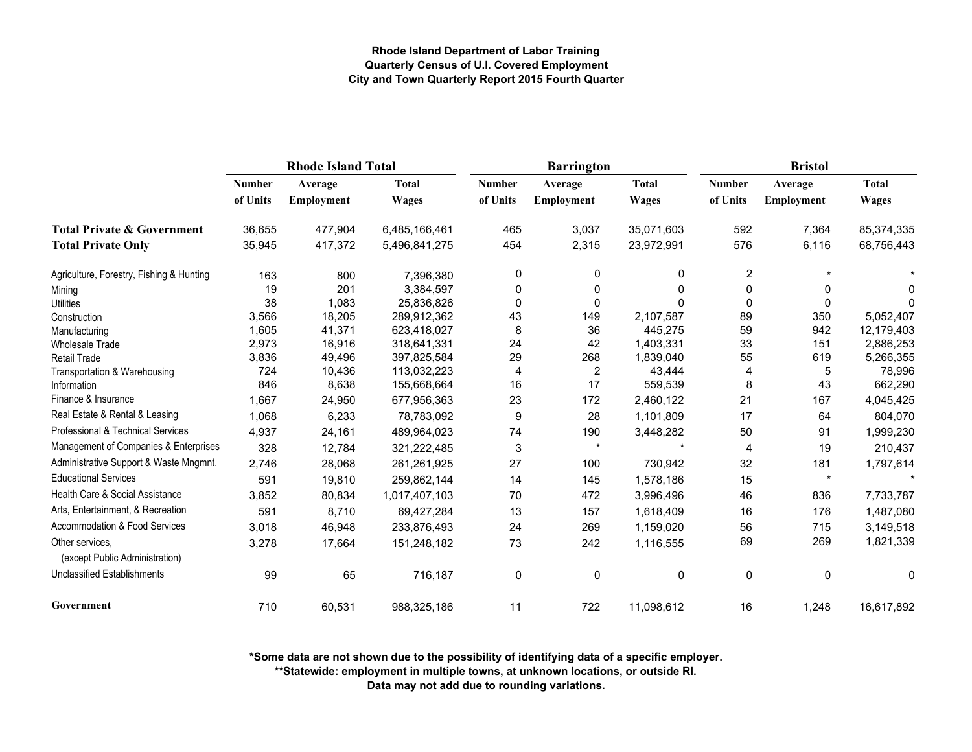|                                                   | <b>Rhode Island Total</b> |                   |               | <b>Barrington</b> |                   |              | <b>Bristol</b> |                   |              |
|---------------------------------------------------|---------------------------|-------------------|---------------|-------------------|-------------------|--------------|----------------|-------------------|--------------|
|                                                   | <b>Number</b>             | Average           | <b>Total</b>  | <b>Number</b>     | Average           | <b>Total</b> | <b>Number</b>  | Average           | <b>Total</b> |
|                                                   | of Units                  | <b>Employment</b> | <b>Wages</b>  | of Units          | <b>Employment</b> | <b>Wages</b> | of Units       | <b>Employment</b> | <b>Wages</b> |
| <b>Total Private &amp; Government</b>             | 36,655                    | 477,904           | 6,485,166,461 | 465               | 3,037             | 35,071,603   | 592            | 7,364             | 85,374,335   |
| <b>Total Private Only</b>                         | 35,945                    | 417,372           | 5,496,841,275 | 454               | 2,315             | 23,972,991   | 576            | 6,116             | 68,756,443   |
| Agriculture, Forestry, Fishing & Hunting          | 163                       | 800               | 7,396,380     | 0                 | 0                 | 0            | 2              |                   |              |
| Mining                                            | 19                        | 201               | 3,384,597     | 0                 | 0                 | $\mathbf{0}$ | 0              | 0                 | 0            |
| <b>Utilities</b>                                  | 38                        | 1,083             | 25,836,826    | $\Omega$          | 0                 | $\Omega$     | $\mathbf{0}$   | $\Omega$          | 0            |
| Construction                                      | 3,566                     | 18,205            | 289,912,362   | 43                | 149               | 2,107,587    | 89             | 350               | 5,052,407    |
| Manufacturing                                     | 1,605                     | 41,371            | 623,418,027   | 8                 | 36                | 445,275      | 59             | 942               | 12,179,403   |
| <b>Wholesale Trade</b>                            | 2,973                     | 16,916            | 318,641,331   | 24                | 42                | 1,403,331    | 33             | 151               | 2,886,253    |
| <b>Retail Trade</b>                               | 3,836                     | 49,496            | 397,825,584   | 29                | 268               | 1,839,040    | 55             | 619               | 5,266,355    |
| Transportation & Warehousing                      | 724                       | 10,436            | 113,032,223   | $\overline{4}$    | 2                 | 43,444       | 4              | 5                 | 78,996       |
| Information                                       | 846                       | 8,638             | 155,668,664   | 16                | 17                | 559,539      | 8              | 43                | 662,290      |
| Finance & Insurance                               | 1,667                     | 24,950            | 677,956,363   | 23                | 172               | 2,460,122    | 21             | 167               | 4,045,425    |
| Real Estate & Rental & Leasing                    | 1,068                     | 6,233             | 78,783,092    | 9                 | 28                | 1,101,809    | 17             | 64                | 804,070      |
| Professional & Technical Services                 | 4,937                     | 24,161            | 489,964,023   | 74                | 190               | 3,448,282    | 50             | 91                | 1,999,230    |
| Management of Companies & Enterprises             | 328                       | 12,784            | 321,222,485   | $\mathsf 3$       | $\star$           |              | 4              | 19                | 210,437      |
| Administrative Support & Waste Mngmnt.            | 2,746                     | 28,068            | 261,261,925   | 27                | 100               | 730,942      | 32             | 181               | 1,797,614    |
| <b>Educational Services</b>                       | 591                       | 19,810            | 259,862,144   | 14                | 145               | 1,578,186    | 15             | $\star$           |              |
| Health Care & Social Assistance                   | 3,852                     | 80,834            | 1,017,407,103 | 70                | 472               | 3,996,496    | 46             | 836               | 7,733,787    |
| Arts, Entertainment, & Recreation                 | 591                       | 8,710             | 69,427,284    | 13                | 157               | 1,618,409    | 16             | 176               | 1,487,080    |
| Accommodation & Food Services                     | 3,018                     | 46,948            | 233,876,493   | 24                | 269               | 1,159,020    | 56             | 715               | 3,149,518    |
| Other services,<br>(except Public Administration) | 3,278                     | 17,664            | 151,248,182   | 73                | 242               | 1,116,555    | 69             | 269               | 1,821,339    |
| <b>Unclassified Establishments</b>                | 99                        | 65                | 716,187       | 0                 | 0                 | 0            | 0              | 0                 | 0            |
| Government                                        | 710                       | 60,531            | 988,325,186   | 11                | 722               | 11,098,612   | 16             | 1,248             | 16,617,892   |

**\*Some data are not shown due to the possibility of identifying data of a specific employer.**

**\*\*Statewide: employment in multiple towns, at unknown locations, or outside RI.**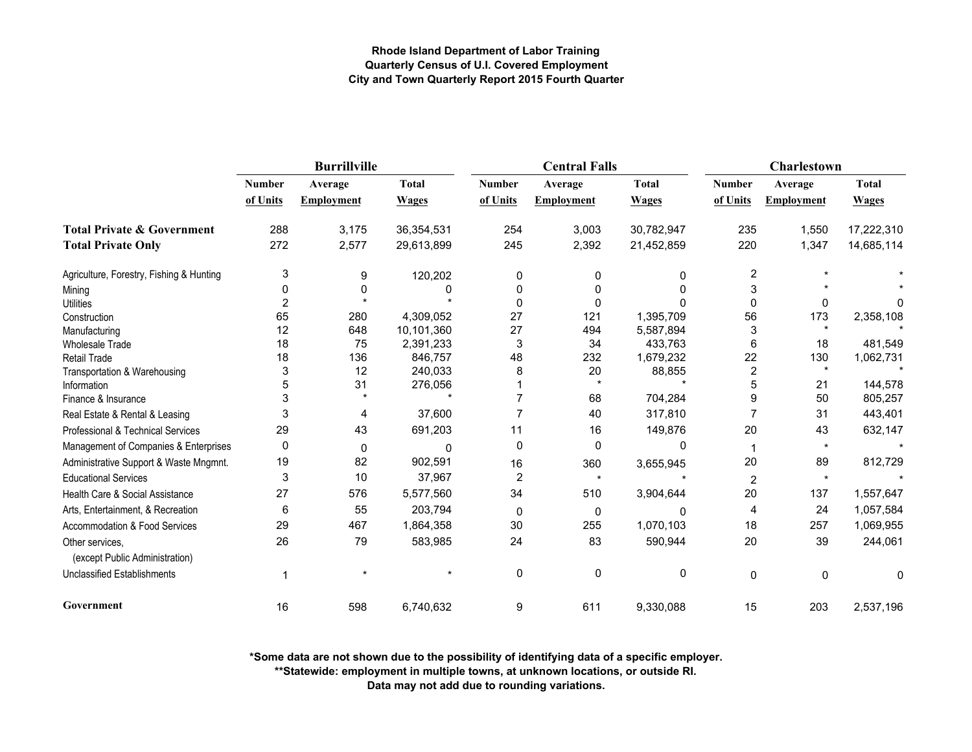|                                                   |                | <b>Burrillville</b> |              |               | <b>Central Falls</b> |              | Charlestown    |                   |              |
|---------------------------------------------------|----------------|---------------------|--------------|---------------|----------------------|--------------|----------------|-------------------|--------------|
|                                                   | <b>Number</b>  | Average             | <b>Total</b> | <b>Number</b> | Average              | <b>Total</b> | <b>Number</b>  | Average           | <b>Total</b> |
|                                                   | of Units       | <b>Employment</b>   | <b>Wages</b> | of Units      | <b>Employment</b>    | <b>Wages</b> | of Units       | <b>Employment</b> | <b>Wages</b> |
| <b>Total Private &amp; Government</b>             | 288            | 3,175               | 36,354,531   | 254           | 3,003                | 30,782,947   | 235            | 1,550             | 17,222,310   |
| <b>Total Private Only</b>                         | 272            | 2,577               | 29,613,899   | 245           | 2,392                | 21,452,859   | 220            | 1,347             | 14,685,114   |
| Agriculture, Forestry, Fishing & Hunting          | 3              | 9                   | 120,202      | 0             |                      | 0            | 2              |                   |              |
| Mining                                            | 0              | 0                   | 0            | 0             | O                    | <sup>0</sup> | 3              |                   |              |
| <b>Utilities</b>                                  | $\overline{2}$ |                     |              | 0             | 0                    |              | $\mathbf{0}$   | 0                 | <sup>0</sup> |
| Construction                                      | 65             | 280                 | 4,309,052    | 27            | 121                  | 1,395,709    | 56             | 173               | 2,358,108    |
| Manufacturing                                     | 12             | 648                 | 10,101,360   | 27            | 494                  | 5,587,894    | 3              |                   |              |
| <b>Wholesale Trade</b>                            | 18             | 75                  | 2,391,233    | 3             | 34                   | 433,763      | 6              | 18                | 481,549      |
| <b>Retail Trade</b>                               | 18             | 136                 | 846,757      | 48            | 232                  | 1,679,232    | 22             | 130               | 1,062,731    |
| Transportation & Warehousing                      | 3              | 12                  | 240,033      | 8             | 20                   | 88,855       | $\overline{2}$ | $\star$           |              |
| Information                                       | 5              | 31                  | 276,056      |               | $\star$              |              | 5              | 21                | 144,578      |
| Finance & Insurance                               | 3              |                     |              | 7             | 68                   | 704,284      | 9              | 50                | 805,257      |
| Real Estate & Rental & Leasing                    | 3              | 4                   | 37,600       | 7             | 40                   | 317,810      | 7              | 31                | 443,401      |
| Professional & Technical Services                 | 29             | 43                  | 691,203      | 11            | 16                   | 149,876      | 20             | 43                | 632,147      |
| Management of Companies & Enterprises             | 0              | 0                   | $\Omega$     | 0             | 0                    | 0            | 1              | $\star$           |              |
| Administrative Support & Waste Mngmnt.            | 19             | 82                  | 902,591      | 16            | 360                  | 3,655,945    | 20             | 89                | 812,729      |
| <b>Educational Services</b>                       | 3              | 10                  | 37,967       | $\sqrt{2}$    | $\star$              |              | $\overline{2}$ | $\star$           |              |
| Health Care & Social Assistance                   | 27             | 576                 | 5,577,560    | 34            | 510                  | 3,904,644    | 20             | 137               | 1,557,647    |
| Arts, Entertainment, & Recreation                 | 6              | 55                  | 203,794      | 0             | 0                    | n            | 4              | 24                | 1,057,584    |
| Accommodation & Food Services                     | 29             | 467                 | 1,864,358    | 30            | 255                  | 1,070,103    | 18             | 257               | 1,069,955    |
| Other services,<br>(except Public Administration) | 26             | 79                  | 583,985      | 24            | 83                   | 590,944      | 20             | 39                | 244,061      |
| <b>Unclassified Establishments</b>                | 1              |                     |              | $\mathbf 0$   | $\mathbf 0$          | 0            | 0              | $\mathbf 0$       | 0            |
| Government                                        | 16             | 598                 | 6,740,632    | 9             | 611                  | 9,330,088    | 15             | 203               | 2,537,196    |

**\*Some data are not shown due to the possibility of identifying data of a specific employer.**

**\*\*Statewide: employment in multiple towns, at unknown locations, or outside RI.**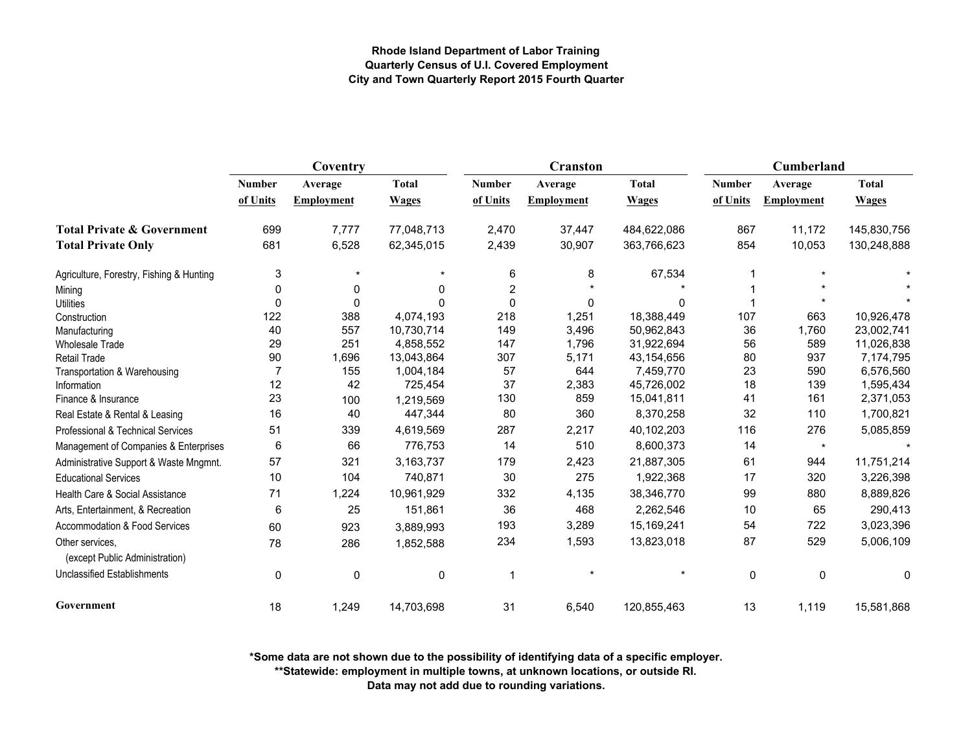|                                                   | Coventry      |                   |              |               | <b>Cranston</b>   |              | Cumberland    |                   |              |
|---------------------------------------------------|---------------|-------------------|--------------|---------------|-------------------|--------------|---------------|-------------------|--------------|
|                                                   | <b>Number</b> | Average           | <b>Total</b> | <b>Number</b> | Average           | <b>Total</b> | <b>Number</b> | Average           | <b>Total</b> |
|                                                   | of Units      | <b>Employment</b> | <b>Wages</b> | of Units      | <b>Employment</b> | <b>Wages</b> | of Units      | <b>Employment</b> | <b>Wages</b> |
| <b>Total Private &amp; Government</b>             | 699           | 7,777             | 77,048,713   | 2,470         | 37,447            | 484,622,086  | 867           | 11,172            | 145,830,756  |
| <b>Total Private Only</b>                         | 681           | 6,528             | 62,345,015   | 2,439         | 30,907            | 363,766,623  | 854           | 10,053            | 130,248,888  |
| Agriculture, Forestry, Fishing & Hunting          | 3             | $\star$           |              | 6             | 8                 | 67,534       |               |                   |              |
| Mining                                            | 0             | 0                 | 0            | $\mathbf 2$   |                   |              |               |                   |              |
| <b>Utilities</b>                                  | 0             | 0                 | $\Omega$     | $\mathbf 0$   | 0                 | 0            |               |                   |              |
| Construction                                      | 122           | 388               | 4,074,193    | 218           | 1,251             | 18,388,449   | 107           | 663               | 10,926,478   |
| Manufacturing                                     | 40            | 557               | 10,730,714   | 149           | 3,496             | 50,962,843   | 36            | 1,760             | 23,002,741   |
| <b>Wholesale Trade</b>                            | 29            | 251               | 4,858,552    | 147           | 1,796             | 31,922,694   | 56            | 589               | 11,026,838   |
| <b>Retail Trade</b>                               | 90            | 1,696             | 13,043,864   | 307           | 5,171             | 43,154,656   | 80            | 937               | 7,174,795    |
| Transportation & Warehousing                      |               | 155               | 1,004,184    | 57            | 644               | 7,459,770    | 23            | 590               | 6,576,560    |
| Information                                       | 12            | 42                | 725,454      | 37            | 2,383             | 45,726,002   | 18            | 139               | 1,595,434    |
| Finance & Insurance                               | 23            | 100               | 1,219,569    | 130           | 859               | 15,041,811   | 41            | 161               | 2,371,053    |
| Real Estate & Rental & Leasing                    | 16            | 40                | 447,344      | 80            | 360               | 8,370,258    | 32            | 110               | 1,700,821    |
| Professional & Technical Services                 | 51            | 339               | 4,619,569    | 287           | 2,217             | 40,102,203   | 116           | 276               | 5,085,859    |
| Management of Companies & Enterprises             | 6             | 66                | 776,753      | 14            | 510               | 8,600,373    | 14            | $\star$           |              |
| Administrative Support & Waste Mngmnt.            | 57            | 321               | 3,163,737    | 179           | 2,423             | 21,887,305   | 61            | 944               | 11,751,214   |
| <b>Educational Services</b>                       | 10            | 104               | 740,871      | 30            | 275               | 1,922,368    | 17            | 320               | 3,226,398    |
| Health Care & Social Assistance                   | 71            | 1,224             | 10,961,929   | 332           | 4,135             | 38,346,770   | 99            | 880               | 8,889,826    |
| Arts, Entertainment, & Recreation                 | 6             | 25                | 151,861      | 36            | 468               | 2,262,546    | 10            | 65                | 290,413      |
| <b>Accommodation &amp; Food Services</b>          | 60            | 923               | 3,889,993    | 193           | 3,289             | 15,169,241   | 54            | 722               | 3,023,396    |
| Other services.<br>(except Public Administration) | 78            | 286               | 1,852,588    | 234           | 1,593             | 13,823,018   | 87            | 529               | 5,006,109    |
| <b>Unclassified Establishments</b>                | $\mathbf 0$   | 0                 | $\mathbf 0$  | $\mathbf 1$   |                   |              | $\mathbf 0$   | 0                 | 0            |
| Government                                        | 18            | 1,249             | 14,703,698   | 31            | 6,540             | 120,855,463  | 13            | 1,119             | 15,581,868   |

**\*Some data are not shown due to the possibility of identifying data of a specific employer.**

**\*\*Statewide: employment in multiple towns, at unknown locations, or outside RI.**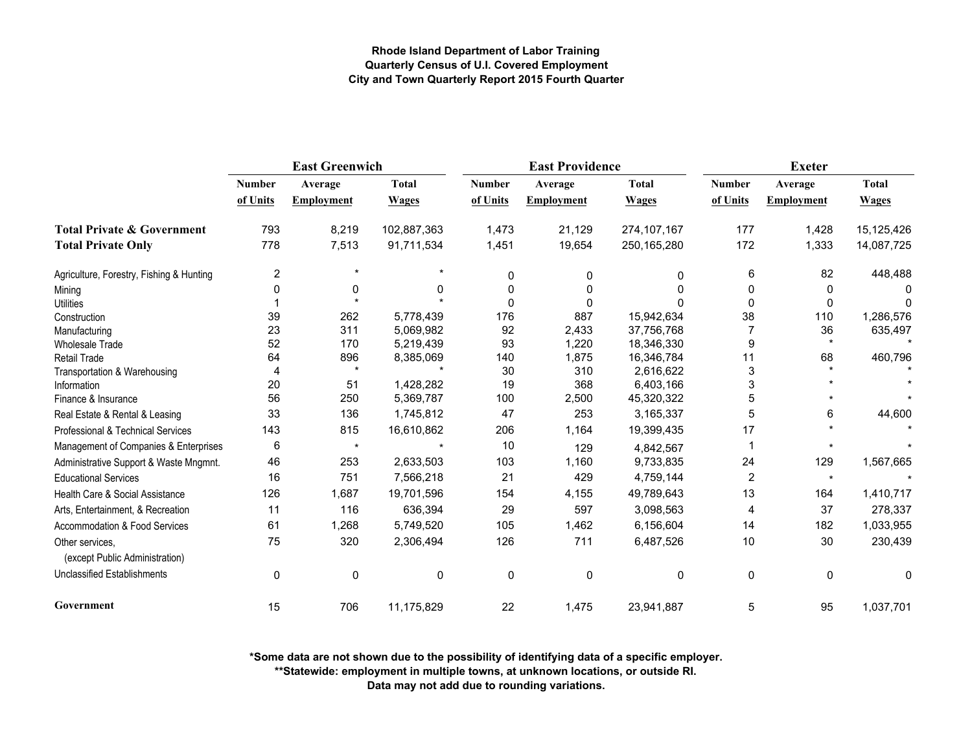|                                                   | <b>East Greenwich</b> |                   |              |               | <b>East Providence</b> |               | <b>Exeter</b>  |                   |              |
|---------------------------------------------------|-----------------------|-------------------|--------------|---------------|------------------------|---------------|----------------|-------------------|--------------|
|                                                   | <b>Number</b>         | Average           | <b>Total</b> | <b>Number</b> | Average                | <b>Total</b>  | <b>Number</b>  | Average           | <b>Total</b> |
|                                                   | of Units              | <b>Employment</b> | Wages        | of Units      | Employment             | <b>Wages</b>  | of Units       | <b>Employment</b> | <b>Wages</b> |
| <b>Total Private &amp; Government</b>             | 793                   | 8,219             | 102,887,363  | 1,473         | 21,129                 | 274, 107, 167 | 177            | 1,428             | 15,125,426   |
| <b>Total Private Only</b>                         | 778                   | 7,513             | 91,711,534   | 1,451         | 19,654                 | 250,165,280   | 172            | 1,333             | 14,087,725   |
| Agriculture, Forestry, Fishing & Hunting          | 2                     |                   |              | 0             | 0                      | 0             | 6              | 82                | 448,488      |
| Mining                                            |                       | 0                 | 0            | 0             | 0                      |               | 0              | 0                 |              |
| <b>Utilities</b>                                  |                       |                   |              | $\Omega$      | 0                      |               | $\Omega$       | 0                 |              |
| Construction                                      | 39                    | 262               | 5,778,439    | 176           | 887                    | 15,942,634    | 38             | 110               | 1,286,576    |
| Manufacturing                                     | 23                    | 311               | 5,069,982    | 92            | 2,433                  | 37,756,768    |                | 36                | 635,497      |
| <b>Wholesale Trade</b>                            | 52                    | 170               | 5,219,439    | 93            | 1,220                  | 18,346,330    | 9              | $\star$           |              |
| <b>Retail Trade</b>                               | 64                    | 896               | 8,385,069    | 140           | 1,875                  | 16,346,784    | 11             | 68                | 460,796      |
| Transportation & Warehousing                      | 4                     | $\star$           |              | 30            | 310                    | 2,616,622     | 3              |                   |              |
| Information                                       | 20                    | 51                | 1,428,282    | 19            | 368                    | 6,403,166     | 3              |                   |              |
| Finance & Insurance                               | 56                    | 250               | 5,369,787    | 100           | 2,500                  | 45,320,322    | 5              |                   |              |
| Real Estate & Rental & Leasing                    | 33                    | 136               | 1,745,812    | 47            | 253                    | 3,165,337     | 5              | 6                 | 44,600       |
| Professional & Technical Services                 | 143                   | 815               | 16,610,862   | 206           | 1,164                  | 19,399,435    | 17             |                   |              |
| Management of Companies & Enterprises             | 6                     | $\star$           |              | 10            | 129                    | 4,842,567     |                |                   |              |
| Administrative Support & Waste Mngmnt.            | 46                    | 253               | 2,633,503    | 103           | 1,160                  | 9,733,835     | 24             | 129               | 1,567,665    |
| <b>Educational Services</b>                       | 16                    | 751               | 7,566,218    | 21            | 429                    | 4,759,144     | $\overline{2}$ | $\star$           |              |
| Health Care & Social Assistance                   | 126                   | 1,687             | 19,701,596   | 154           | 4,155                  | 49,789,643    | 13             | 164               | 1,410,717    |
| Arts, Entertainment, & Recreation                 | 11                    | 116               | 636,394      | 29            | 597                    | 3,098,563     | 4              | 37                | 278,337      |
| <b>Accommodation &amp; Food Services</b>          | 61                    | 1,268             | 5,749,520    | 105           | 1,462                  | 6,156,604     | 14             | 182               | 1,033,955    |
| Other services,<br>(except Public Administration) | 75                    | 320               | 2,306,494    | 126           | 711                    | 6,487,526     | 10             | 30                | 230,439      |
| <b>Unclassified Establishments</b>                | $\mathbf 0$           | 0                 | 0            | $\mathbf 0$   | 0                      | $\mathbf 0$   | $\mathbf 0$    | $\mathbf 0$       | 0            |
| Government                                        | 15                    | 706               | 11,175,829   | 22            | 1,475                  | 23,941,887    | 5              | 95                | 1,037,701    |

**\*Some data are not shown due to the possibility of identifying data of a specific employer.**

**\*\*Statewide: employment in multiple towns, at unknown locations, or outside RI.**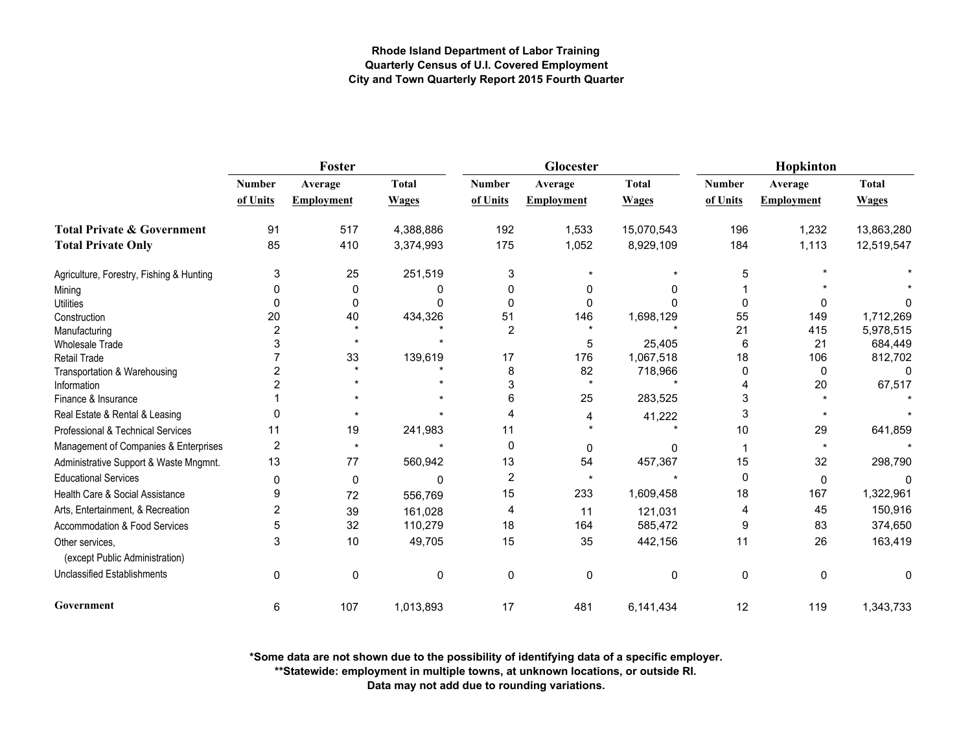|                                                   |               | <b>Foster</b>        |              |                | Glocester         |              | Hopkinton     |                   |              |
|---------------------------------------------------|---------------|----------------------|--------------|----------------|-------------------|--------------|---------------|-------------------|--------------|
|                                                   | <b>Number</b> | Average              | <b>Total</b> | <b>Number</b>  | Average           | <b>Total</b> | <b>Number</b> | Average           | <b>Total</b> |
|                                                   | of Units      | <b>Employment</b>    | <b>Wages</b> | of Units       | <b>Employment</b> | <b>Wages</b> | of Units      | <b>Employment</b> | <b>Wages</b> |
| <b>Total Private &amp; Government</b>             | 91            | 517                  | 4,388,886    | 192            | 1,533             | 15,070,543   | 196           | 1,232             | 13,863,280   |
| <b>Total Private Only</b>                         | 85            | 410                  | 3,374,993    | 175            | 1,052             | 8,929,109    | 184           | 1,113             | 12,519,547   |
| Agriculture, Forestry, Fishing & Hunting          | 3             | 25                   | 251,519      | 3              |                   |              | 5             |                   |              |
| Mining                                            | O             | 0                    | 0            | 0              | 0                 |              |               |                   |              |
| <b>Utilities</b>                                  | $\Omega$      | 0                    | n            | $\Omega$       | 0                 |              | $\Omega$      | 0                 |              |
| Construction                                      | 20            | 40                   | 434,326      | 51             | 146               | 1,698,129    | 55            | 149               | 1,712,269    |
| Manufacturing                                     | 2             |                      |              | $\overline{2}$ |                   |              | 21            | 415               | 5,978,515    |
| <b>Wholesale Trade</b>                            |               |                      |              |                | 5                 | 25,405       | 6             | 21                | 684,449      |
| Retail Trade                                      |               | 33                   | 139,619      | 17             | 176               | 1,067,518    | 18            | 106               | 812,702      |
| Transportation & Warehousing                      |               | $\ddot{\phantom{0}}$ |              | 8              | 82                | 718,966      | 0             | $\mathbf{0}$      | $\Omega$     |
| Information                                       |               |                      |              | 3              | $\star$           |              |               | 20                | 67,517       |
| Finance & Insurance                               |               |                      |              | 6              | 25                | 283,525      | 3             |                   |              |
| Real Estate & Rental & Leasing                    |               |                      |              |                | 4                 | 41,222       | 3             |                   |              |
| Professional & Technical Services                 | 11            | 19                   | 241,983      | 11             |                   |              | 10            | 29                | 641,859      |
| Management of Companies & Enterprises             | 2             | $\star$              |              | $\mathbf 0$    | 0                 | 0            |               |                   |              |
| Administrative Support & Waste Mngmnt.            | 13            | 77                   | 560,942      | 13             | 54                | 457,367      | 15            | 32                | 298,790      |
| <b>Educational Services</b>                       | $\Omega$      | 0                    | 0            | $\overline{2}$ |                   |              | 0             | $\mathbf{0}$      | $\Omega$     |
| Health Care & Social Assistance                   | 9             | 72                   | 556,769      | 15             | 233               | 1,609,458    | 18            | 167               | 1,322,961    |
| Arts, Entertainment, & Recreation                 | 2             | 39                   | 161,028      | 4              | 11                | 121,031      | 4             | 45                | 150,916      |
| <b>Accommodation &amp; Food Services</b>          | 5             | 32                   | 110,279      | 18             | 164               | 585,472      | 9             | 83                | 374,650      |
| Other services.<br>(except Public Administration) | 3             | 10                   | 49,705       | 15             | 35                | 442,156      | 11            | 26                | 163,419      |
| <b>Unclassified Establishments</b>                | 0             | 0                    | $\mathbf 0$  | $\mathbf 0$    | $\mathbf 0$       | 0            | 0             | $\mathbf{0}$      | 0            |
| Government                                        | 6             | 107                  | 1,013,893    | 17             | 481               | 6,141,434    | 12            | 119               | 1,343,733    |

**\*Some data are not shown due to the possibility of identifying data of a specific employer.**

**\*\*Statewide: employment in multiple towns, at unknown locations, or outside RI.**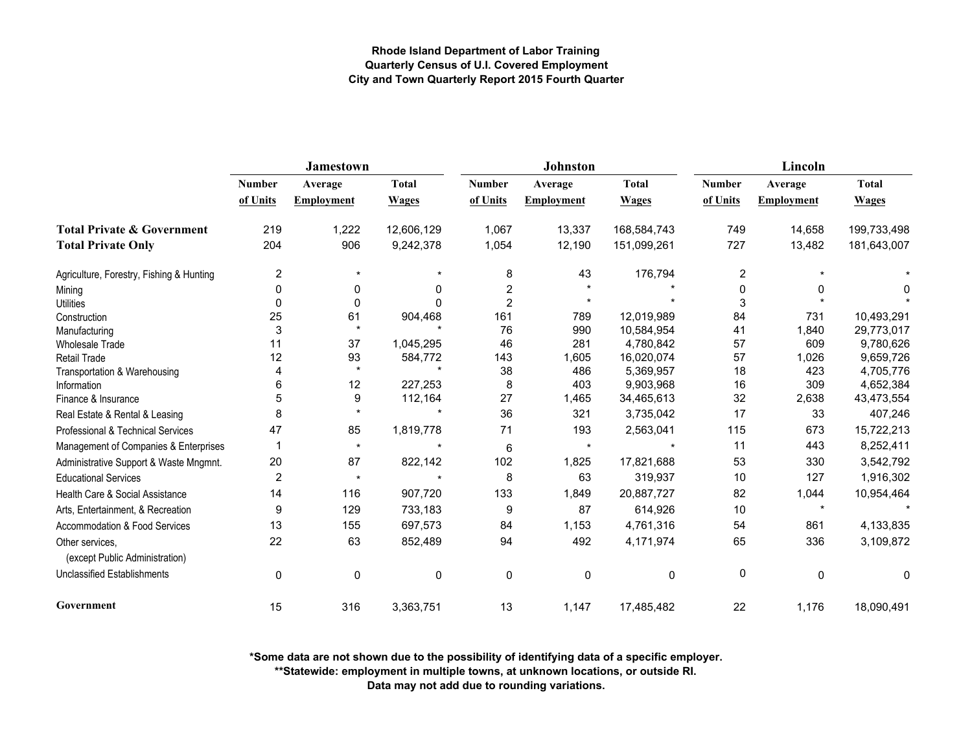|                                                   |                | <b>Jamestown</b>  |              |                | <b>Johnston</b> |              | Lincoln       |                   |              |  |
|---------------------------------------------------|----------------|-------------------|--------------|----------------|-----------------|--------------|---------------|-------------------|--------------|--|
|                                                   | <b>Number</b>  | Average           | <b>Total</b> | <b>Number</b>  | Average         | <b>Total</b> | <b>Number</b> | Average           | <b>Total</b> |  |
|                                                   | of Units       | <b>Employment</b> | <b>Wages</b> | of Units       | Employment      | <b>Wages</b> | of Units      | <b>Employment</b> | <b>Wages</b> |  |
| <b>Total Private &amp; Government</b>             | 219            | 1,222             | 12,606,129   | 1,067          | 13,337          | 168,584,743  | 749           | 14,658            | 199,733,498  |  |
| <b>Total Private Only</b>                         | 204            | 906               | 9,242,378    | 1,054          | 12,190          | 151,099,261  | 727           | 13,482            | 181,643,007  |  |
| Agriculture, Forestry, Fishing & Hunting          | $\overline{c}$ | $\star$           |              | 8              | 43              | 176,794      | 2             |                   |              |  |
| Mining                                            | 0              | 0                 | 0            | 2              |                 |              | 0             | 0                 | 0            |  |
| <b>Utilities</b>                                  | 0              | $\mathbf 0$       | $\Omega$     | $\overline{2}$ |                 |              | 3             |                   |              |  |
| Construction                                      | 25             | 61                | 904,468      | 161            | 789             | 12,019,989   | 84            | 731               | 10,493,291   |  |
| Manufacturing                                     | 3              | $\star$           |              | 76             | 990             | 10,584,954   | 41            | 1,840             | 29,773,017   |  |
| <b>Wholesale Trade</b>                            | 11             | 37                | 1,045,295    | 46             | 281             | 4,780,842    | 57            | 609               | 9,780,626    |  |
| <b>Retail Trade</b>                               | 12             | 93                | 584,772      | 143            | 1,605           | 16,020,074   | 57            | 1,026             | 9,659,726    |  |
| Transportation & Warehousing                      | 4              | $\star$           |              | 38             | 486             | 5,369,957    | 18            | 423               | 4,705,776    |  |
| Information                                       | 6              | 12                | 227,253      | 8              | 403             | 9,903,968    | 16            | 309               | 4,652,384    |  |
| Finance & Insurance                               | 5              | 9                 | 112,164      | 27             | 1,465           | 34,465,613   | 32            | 2,638             | 43,473,554   |  |
| Real Estate & Rental & Leasing                    | 8              | $\star$           |              | 36             | 321             | 3,735,042    | 17            | 33                | 407,246      |  |
| Professional & Technical Services                 | 47             | 85                | 1,819,778    | 71             | 193             | 2,563,041    | 115           | 673               | 15,722,213   |  |
| Management of Companies & Enterprises             | -1             | $\star$           | $\star$      | 6              | $\star$         |              | 11            | 443               | 8,252,411    |  |
| Administrative Support & Waste Mngmnt.            | 20             | 87                | 822,142      | 102            | 1,825           | 17,821,688   | 53            | 330               | 3,542,792    |  |
| <b>Educational Services</b>                       | $\overline{2}$ | $\star$           | $\star$      | 8              | 63              | 319,937      | 10            | 127               | 1,916,302    |  |
| Health Care & Social Assistance                   | 14             | 116               | 907,720      | 133            | 1,849           | 20,887,727   | 82            | 1,044             | 10,954,464   |  |
| Arts, Entertainment, & Recreation                 | 9              | 129               | 733,183      | 9              | 87              | 614,926      | 10            | $\star$           |              |  |
| Accommodation & Food Services                     | 13             | 155               | 697,573      | 84             | 1,153           | 4,761,316    | 54            | 861               | 4,133,835    |  |
| Other services,<br>(except Public Administration) | 22             | 63                | 852,489      | 94             | 492             | 4,171,974    | 65            | 336               | 3,109,872    |  |
| <b>Unclassified Establishments</b>                | $\mathbf 0$    | 0                 | 0            | 0              | 0               | $\mathbf 0$  | 0             | 0                 | 0            |  |
| Government                                        | 15             | 316               | 3,363,751    | 13             | 1,147           | 17,485,482   | 22            | 1,176             | 18,090,491   |  |

**\*Some data are not shown due to the possibility of identifying data of a specific employer.**

**\*\*Statewide: employment in multiple towns, at unknown locations, or outside RI.**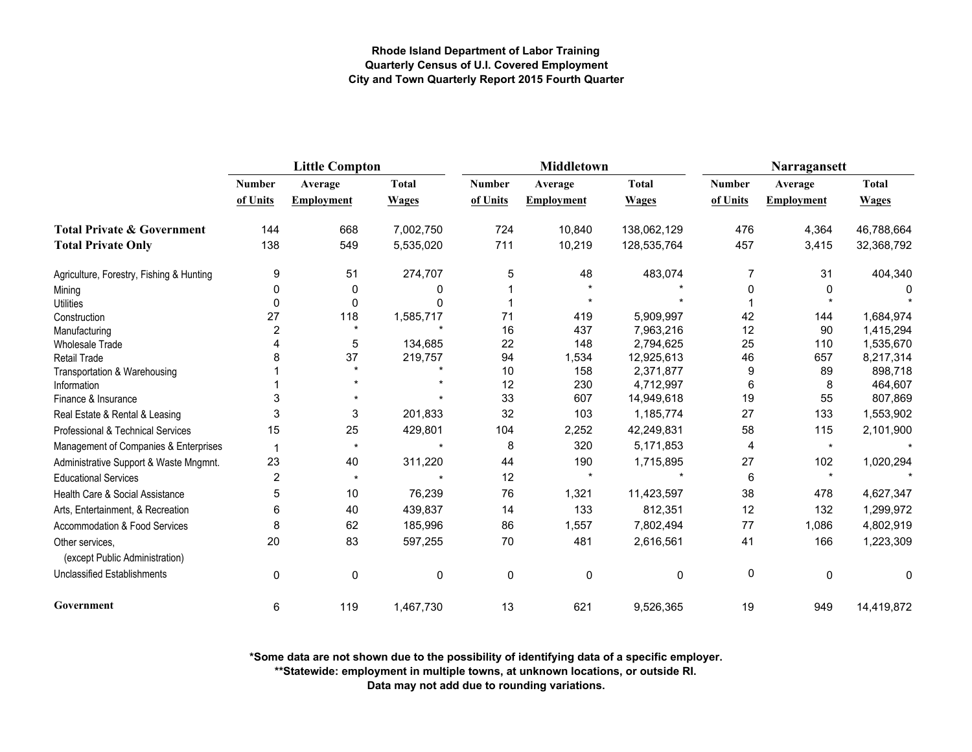|                                                   | <b>Little Compton</b> |                   |              |               | <b>Middletown</b> |              | Narragansett  |                   |              |
|---------------------------------------------------|-----------------------|-------------------|--------------|---------------|-------------------|--------------|---------------|-------------------|--------------|
|                                                   | <b>Number</b>         | Average           | <b>Total</b> | <b>Number</b> | Average           | <b>Total</b> | <b>Number</b> | Average           | <b>Total</b> |
|                                                   | of Units              | <b>Employment</b> | <b>Wages</b> | of Units      | <b>Employment</b> | <b>Wages</b> | of Units      | <b>Employment</b> | <b>Wages</b> |
| <b>Total Private &amp; Government</b>             | 144                   | 668               | 7,002,750    | 724           | 10,840            | 138,062,129  | 476           | 4,364             | 46,788,664   |
| <b>Total Private Only</b>                         | 138                   | 549               | 5,535,020    | 711           | 10,219            | 128,535,764  | 457           | 3,415             | 32,368,792   |
| Agriculture, Forestry, Fishing & Hunting          | 9                     | 51                | 274,707      | 5             | 48                | 483,074      | 7             | 31                | 404,340      |
| Mining                                            | 0                     | 0                 | 0            |               |                   |              | 0             | 0                 |              |
| <b>Utilities</b>                                  | 0                     | $\mathbf 0$       |              |               |                   |              |               |                   |              |
| Construction                                      | 27                    | 118               | 1,585,717    | 71            | 419               | 5,909,997    | 42            | 144               | 1,684,974    |
| Manufacturing                                     | $\overline{2}$        |                   |              | 16            | 437               | 7,963,216    | 12            | 90                | 1,415,294    |
| <b>Wholesale Trade</b>                            |                       | 5                 | 134,685      | 22            | 148               | 2,794,625    | 25            | 110               | 1,535,670    |
| Retail Trade                                      |                       | 37                | 219,757      | 94            | 1,534             | 12,925,613   | 46            | 657               | 8,217,314    |
| Transportation & Warehousing                      |                       |                   |              | 10            | 158               | 2,371,877    | 9             | 89                | 898,718      |
| Information                                       |                       |                   |              | 12            | 230               | 4,712,997    | 6             | 8                 | 464,607      |
| Finance & Insurance                               | 3                     |                   |              | 33            | 607               | 14,949,618   | 19            | 55                | 807,869      |
| Real Estate & Rental & Leasing                    | 3                     | 3                 | 201,833      | 32            | 103               | 1,185,774    | 27            | 133               | 1,553,902    |
| Professional & Technical Services                 | 15                    | 25                | 429,801      | 104           | 2,252             | 42,249,831   | 58            | 115               | 2,101,900    |
| Management of Companies & Enterprises             | 1                     | $\star$           |              | 8             | 320               | 5,171,853    | 4             | $\star$           |              |
| Administrative Support & Waste Mngmnt.            | 23                    | 40                | 311,220      | 44            | 190               | 1,715,895    | 27            | 102               | 1,020,294    |
| <b>Educational Services</b>                       | 2                     | $\star$           |              | 12            | $\star$           |              | 6             | $\star$           |              |
| Health Care & Social Assistance                   | 5                     | 10                | 76,239       | 76            | 1,321             | 11,423,597   | 38            | 478               | 4,627,347    |
| Arts, Entertainment, & Recreation                 | 6                     | 40                | 439,837      | 14            | 133               | 812,351      | 12            | 132               | 1,299,972    |
| Accommodation & Food Services                     | 8                     | 62                | 185,996      | 86            | 1,557             | 7,802,494    | 77            | 1,086             | 4,802,919    |
| Other services.<br>(except Public Administration) | 20                    | 83                | 597,255      | 70            | 481               | 2,616,561    | 41            | 166               | 1,223,309    |
| <b>Unclassified Establishments</b>                | 0                     | 0                 | 0            | $\mathbf 0$   | $\mathbf 0$       | 0            | 0             | $\mathbf 0$       | $\mathbf 0$  |
| Government                                        | 6                     | 119               | 1,467,730    | 13            | 621               | 9,526,365    | 19            | 949               | 14,419,872   |

**\*Some data are not shown due to the possibility of identifying data of a specific employer.**

**\*\*Statewide: employment in multiple towns, at unknown locations, or outside RI.**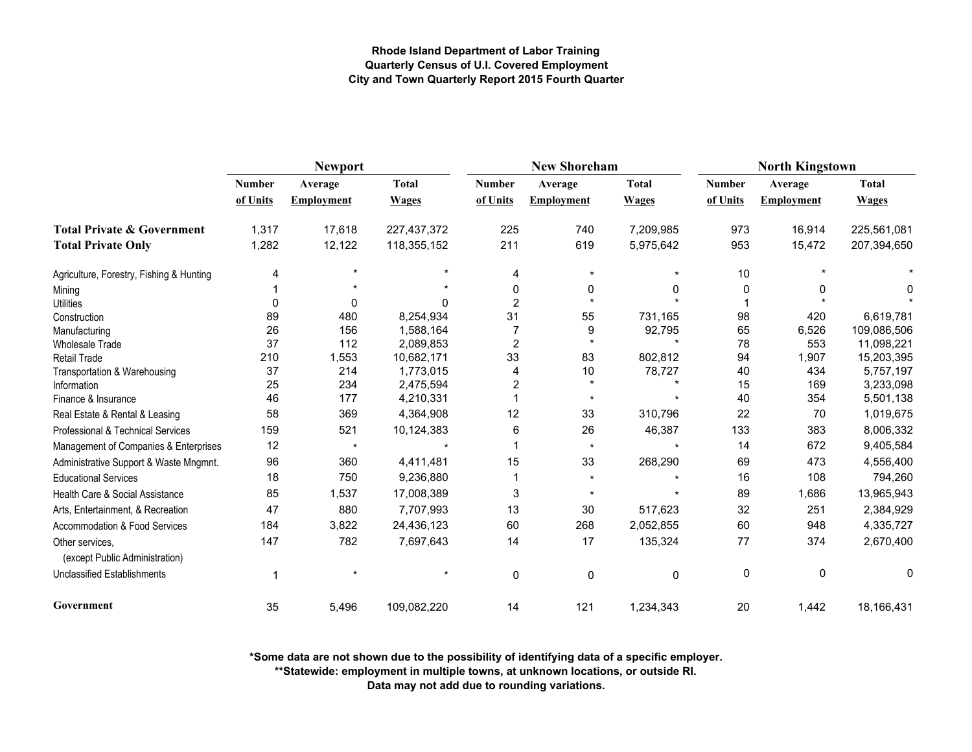|                                                   |               | <b>Newport</b>    |              |                | <b>New Shoreham</b> |              | <b>North Kingstown</b> |             |              |  |
|---------------------------------------------------|---------------|-------------------|--------------|----------------|---------------------|--------------|------------------------|-------------|--------------|--|
|                                                   | <b>Number</b> | Average           | <b>Total</b> | Number         | Average             | <b>Total</b> | <b>Number</b>          | Average     | <b>Total</b> |  |
|                                                   | of Units      | <b>Employment</b> | <b>Wages</b> | of Units       | <b>Employment</b>   | <b>Wages</b> | of Units               | Employment  | <b>Wages</b> |  |
| <b>Total Private &amp; Government</b>             | 1,317         | 17,618            | 227,437,372  | 225            | 740                 | 7,209,985    | 973                    | 16,914      | 225,561,081  |  |
| <b>Total Private Only</b>                         | 1,282         | 12,122            | 118,355,152  | 211            | 619                 | 5,975,642    | 953                    | 15,472      | 207,394,650  |  |
| Agriculture, Forestry, Fishing & Hunting          | 4             |                   |              | 4              | $\star$             |              | 10                     |             |              |  |
| Mining                                            |               |                   |              | 0              | 0                   |              | 0                      | 0           |              |  |
| <b>Utilities</b>                                  | $\Omega$      | 0                 | 0            | $\overline{2}$ |                     |              |                        |             |              |  |
| Construction                                      | 89            | 480               | 8,254,934    | 31             | 55                  | 731,165      | 98                     | 420         | 6,619,781    |  |
| Manufacturing                                     | 26            | 156               | 1,588,164    | 7              | 9                   | 92,795       | 65                     | 6,526       | 109,086,506  |  |
| <b>Wholesale Trade</b>                            | 37            | 112               | 2,089,853    | $\overline{2}$ | $\star$             |              | 78                     | 553         | 11,098,221   |  |
| <b>Retail Trade</b>                               | 210           | 1,553             | 10,682,171   | 33             | 83                  | 802,812      | 94                     | 1,907       | 15,203,395   |  |
| Transportation & Warehousing                      | 37            | 214               | 1,773,015    | 4              | 10                  | 78,727       | 40                     | 434         | 5,757,197    |  |
| Information                                       | 25            | 234               | 2,475,594    | 2              |                     |              | 15                     | 169         | 3,233,098    |  |
| Finance & Insurance                               | 46            | 177               | 4,210,331    |                | $\star$             |              | 40                     | 354         | 5,501,138    |  |
| Real Estate & Rental & Leasing                    | 58            | 369               | 4,364,908    | 12             | 33                  | 310,796      | 22                     | 70          | 1,019,675    |  |
| Professional & Technical Services                 | 159           | 521               | 10,124,383   | 6              | 26                  | 46,387       | 133                    | 383         | 8,006,332    |  |
| Management of Companies & Enterprises             | 12            | $\star$           |              |                | $\star$             |              | 14                     | 672         | 9,405,584    |  |
| Administrative Support & Waste Mngmnt.            | 96            | 360               | 4,411,481    | 15             | 33                  | 268,290      | 69                     | 473         | 4,556,400    |  |
| <b>Educational Services</b>                       | 18            | 750               | 9,236,880    |                | $\star$             |              | 16                     | 108         | 794,260      |  |
| Health Care & Social Assistance                   | 85            | 1,537             | 17,008,389   | 3              |                     |              | 89                     | 1,686       | 13,965,943   |  |
| Arts, Entertainment, & Recreation                 | 47            | 880               | 7,707,993    | 13             | 30                  | 517,623      | 32                     | 251         | 2,384,929    |  |
| Accommodation & Food Services                     | 184           | 3,822             | 24,436,123   | 60             | 268                 | 2,052,855    | 60                     | 948         | 4,335,727    |  |
| Other services,<br>(except Public Administration) | 147           | 782               | 7,697,643    | 14             | 17                  | 135,324      | 77                     | 374         | 2,670,400    |  |
| <b>Unclassified Establishments</b>                |               |                   |              | 0              | 0                   | 0            | 0                      | $\mathbf 0$ | 0            |  |
| Government                                        | 35            | 5,496             | 109,082,220  | 14             | 121                 | 1,234,343    | 20                     | 1,442       | 18,166,431   |  |

**\*Some data are not shown due to the possibility of identifying data of a specific employer.**

**\*\*Statewide: employment in multiple towns, at unknown locations, or outside RI.**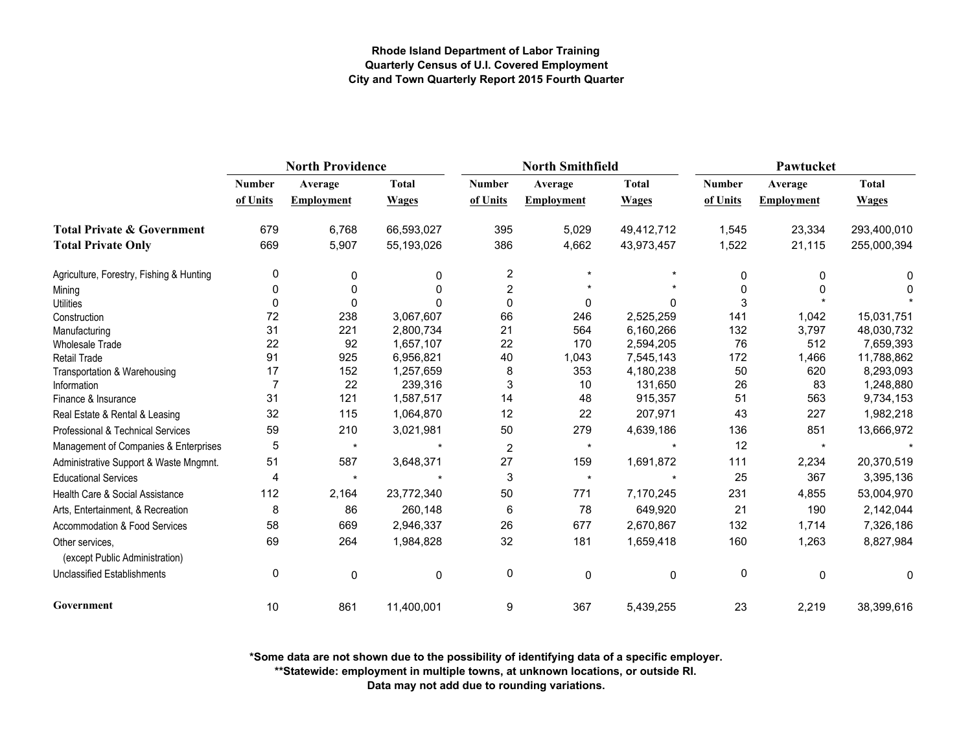|                                                   | <b>North Providence</b> |                   |              |                  | <b>North Smithfield</b> |              | Pawtucket     |                   |              |
|---------------------------------------------------|-------------------------|-------------------|--------------|------------------|-------------------------|--------------|---------------|-------------------|--------------|
|                                                   | <b>Number</b>           | Average           | <b>Total</b> | <b>Number</b>    | Average                 | <b>Total</b> | <b>Number</b> | Average           | <b>Total</b> |
|                                                   | of Units                | <b>Employment</b> | <b>Wages</b> | of Units         | Employment              | <b>Wages</b> | of Units      | <b>Employment</b> | <b>Wages</b> |
| <b>Total Private &amp; Government</b>             | 679                     | 6,768             | 66,593,027   | 395              | 5,029                   | 49,412,712   | 1,545         | 23,334            | 293,400,010  |
| <b>Total Private Only</b>                         | 669                     | 5,907             | 55,193,026   | 386              | 4,662                   | 43,973,457   | 1,522         | 21,115            | 255,000,394  |
| Agriculture, Forestry, Fishing & Hunting          | 0                       | 0                 | 0            | $\boldsymbol{2}$ |                         |              | 0             | 0                 | 0            |
| Mining                                            | 0                       | 0                 | $\Omega$     | 2                |                         |              | $\mathbf{0}$  | 0                 | O            |
| <b>Utilities</b>                                  | 0                       | $\Omega$          |              | $\mathbf 0$      | 0                       |              | 3             |                   |              |
| Construction                                      | 72                      | 238               | 3,067,607    | 66               | 246                     | 2,525,259    | 141           | 1,042             | 15,031,751   |
| Manufacturing                                     | 31                      | 221               | 2,800,734    | 21               | 564                     | 6,160,266    | 132           | 3,797             | 48,030,732   |
| <b>Wholesale Trade</b>                            | 22                      | 92                | 1,657,107    | 22               | 170                     | 2,594,205    | 76            | 512               | 7,659,393    |
| Retail Trade                                      | 91                      | 925               | 6,956,821    | 40               | 1,043                   | 7,545,143    | 172           | 1,466             | 11,788,862   |
| Transportation & Warehousing                      | 17                      | 152               | 1,257,659    | 8                | 353                     | 4,180,238    | 50            | 620               | 8,293,093    |
| Information                                       |                         | 22                | 239,316      | 3                | 10                      | 131,650      | 26            | 83                | 1,248,880    |
| Finance & Insurance                               | 31                      | 121               | 1,587,517    | 14               | 48                      | 915,357      | 51            | 563               | 9,734,153    |
| Real Estate & Rental & Leasing                    | 32                      | 115               | 1,064,870    | 12               | 22                      | 207,971      | 43            | 227               | 1,982,218    |
| Professional & Technical Services                 | 59                      | 210               | 3,021,981    | 50               | 279                     | 4,639,186    | 136           | 851               | 13,666,972   |
| Management of Companies & Enterprises             | 5                       | $\star$           | $\star$      | $\overline{2}$   | $\star$                 |              | 12            | $\star$           |              |
| Administrative Support & Waste Mngmnt.            | 51                      | 587               | 3,648,371    | 27               | 159                     | 1,691,872    | 111           | 2,234             | 20,370,519   |
| <b>Educational Services</b>                       | 4                       | $\star$           |              | 3                | $\star$                 |              | 25            | 367               | 3,395,136    |
| Health Care & Social Assistance                   | 112                     | 2,164             | 23,772,340   | 50               | 771                     | 7,170,245    | 231           | 4,855             | 53,004,970   |
| Arts, Entertainment, & Recreation                 | 8                       | 86                | 260,148      | 6                | 78                      | 649,920      | 21            | 190               | 2,142,044    |
| Accommodation & Food Services                     | 58                      | 669               | 2,946,337    | 26               | 677                     | 2,670,867    | 132           | 1,714             | 7,326,186    |
| Other services.<br>(except Public Administration) | 69                      | 264               | 1,984,828    | 32               | 181                     | 1,659,418    | 160           | 1,263             | 8,827,984    |
| <b>Unclassified Establishments</b>                | 0                       | 0                 | $\mathbf 0$  | 0                | $\mathbf 0$             | $\mathbf 0$  | 0             | $\mathbf 0$       | 0            |
| Government                                        | 10                      | 861               | 11,400,001   | 9                | 367                     | 5,439,255    | 23            | 2,219             | 38,399,616   |

**\*Some data are not shown due to the possibility of identifying data of a specific employer.**

**\*\*Statewide: employment in multiple towns, at unknown locations, or outside RI.**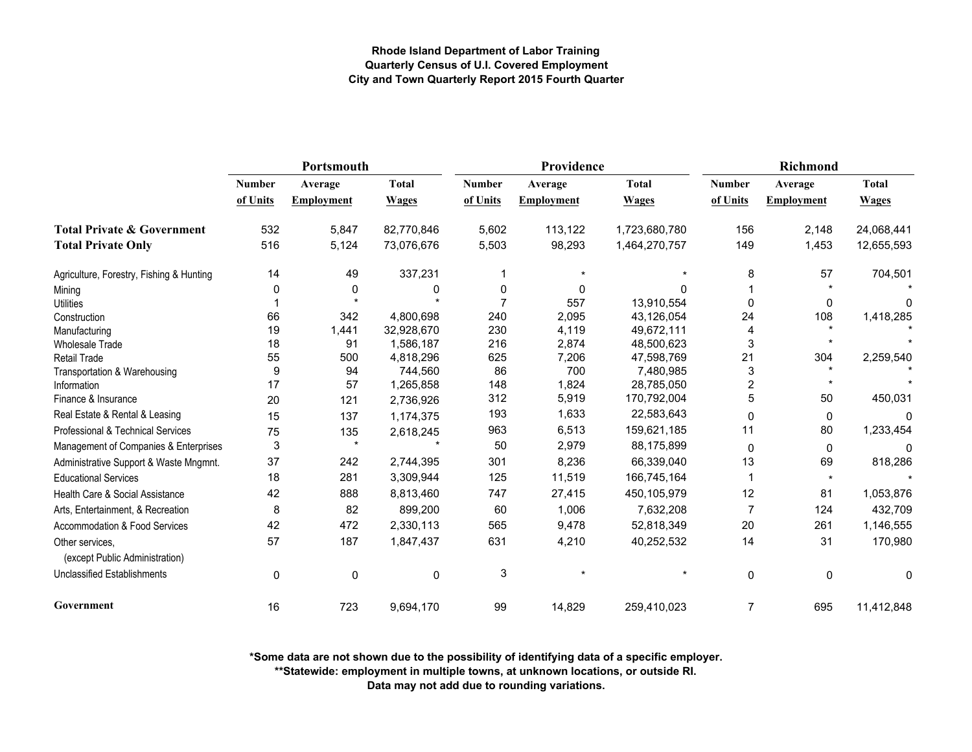|                                                   | Portsmouth    |                   |              |               | Providence        |               | <b>Richmond</b> |                      |              |
|---------------------------------------------------|---------------|-------------------|--------------|---------------|-------------------|---------------|-----------------|----------------------|--------------|
|                                                   | <b>Number</b> | Average           | <b>Total</b> | <b>Number</b> | Average           | <b>Total</b>  | <b>Number</b>   | Average              | <b>Total</b> |
|                                                   | of Units      | <b>Employment</b> | <b>Wages</b> | of Units      | <b>Employment</b> | <b>Wages</b>  | of Units        | <b>Employment</b>    | <b>Wages</b> |
| <b>Total Private &amp; Government</b>             | 532           | 5,847             | 82,770,846   | 5,602         | 113,122           | 1,723,680,780 | 156             | 2,148                | 24,068,441   |
| <b>Total Private Only</b>                         | 516           | 5,124             | 73,076,676   | 5,503         | 98,293            | 1,464,270,757 | 149             | 1,453                | 12,655,593   |
| Agriculture, Forestry, Fishing & Hunting          | 14            | 49                | 337,231      | 1             |                   |               | 8               | 57                   | 704,501      |
| Mining                                            |               | 0                 | 0            | 0             | 0                 | $\Omega$      |                 |                      |              |
| <b>Utilities</b>                                  |               |                   |              | 7             | 557               | 13,910,554    | $\mathbf 0$     | 0                    | n            |
| Construction                                      | 66            | 342               | 4,800,698    | 240           | 2,095             | 43,126,054    | 24              | 108                  | 1,418,285    |
| Manufacturing                                     | 19            | 1,441             | 32,928,670   | 230           | 4,119             | 49,672,111    | 4               |                      |              |
| <b>Wholesale Trade</b>                            | 18            | 91                | 1,586,187    | 216           | 2,874             | 48,500,623    | 3               |                      |              |
| Retail Trade                                      | 55            | 500               | 4,818,296    | 625           | 7,206             | 47,598,769    | 21              | 304                  | 2,259,540    |
| Transportation & Warehousing                      | 9             | 94                | 744,560      | 86            | 700               | 7,480,985     | $\mathfrak{S}$  | $\ddot{\phantom{1}}$ |              |
| Information                                       | 17            | 57                | 1,265,858    | 148           | 1,824             | 28,785,050    | $\overline{2}$  | $\star$              |              |
| Finance & Insurance                               | 20            | 121               | 2,736,926    | 312           | 5,919             | 170,792,004   | 5               | 50                   | 450,031      |
| Real Estate & Rental & Leasing                    | 15            | 137               | 1,174,375    | 193           | 1,633             | 22,583,643    | 0               | 0                    | 0            |
| Professional & Technical Services                 | 75            | 135               | 2,618,245    | 963           | 6,513             | 159,621,185   | 11              | 80                   | 1,233,454    |
| Management of Companies & Enterprises             | 3             | $\star$           |              | 50            | 2,979             | 88,175,899    | $\mathbf 0$     | $\mathbf{0}$         |              |
| Administrative Support & Waste Mngmnt.            | 37            | 242               | 2,744,395    | 301           | 8,236             | 66,339,040    | 13              | 69                   | 818,286      |
| <b>Educational Services</b>                       | 18            | 281               | 3,309,944    | 125           | 11,519            | 166,745,164   |                 | $\star$              |              |
| Health Care & Social Assistance                   | 42            | 888               | 8,813,460    | 747           | 27,415            | 450,105,979   | 12              | 81                   | 1,053,876    |
| Arts, Entertainment, & Recreation                 | 8             | 82                | 899,200      | 60            | 1,006             | 7,632,208     | $\overline{7}$  | 124                  | 432,709      |
| Accommodation & Food Services                     | 42            | 472               | 2,330,113    | 565           | 9,478             | 52,818,349    | 20              | 261                  | 1,146,555    |
| Other services.<br>(except Public Administration) | 57            | 187               | 1,847,437    | 631           | 4,210             | 40,252,532    | 14              | 31                   | 170,980      |
| <b>Unclassified Establishments</b>                | $\mathbf 0$   | 0                 | $\mathbf 0$  | 3             |                   |               | 0               | $\mathbf 0$          | 0            |
| Government                                        | 16            | 723               | 9,694,170    | 99            | 14,829            | 259,410,023   | $\overline{7}$  | 695                  | 11,412,848   |

**\*Some data are not shown due to the possibility of identifying data of a specific employer.**

**\*\*Statewide: employment in multiple towns, at unknown locations, or outside RI.**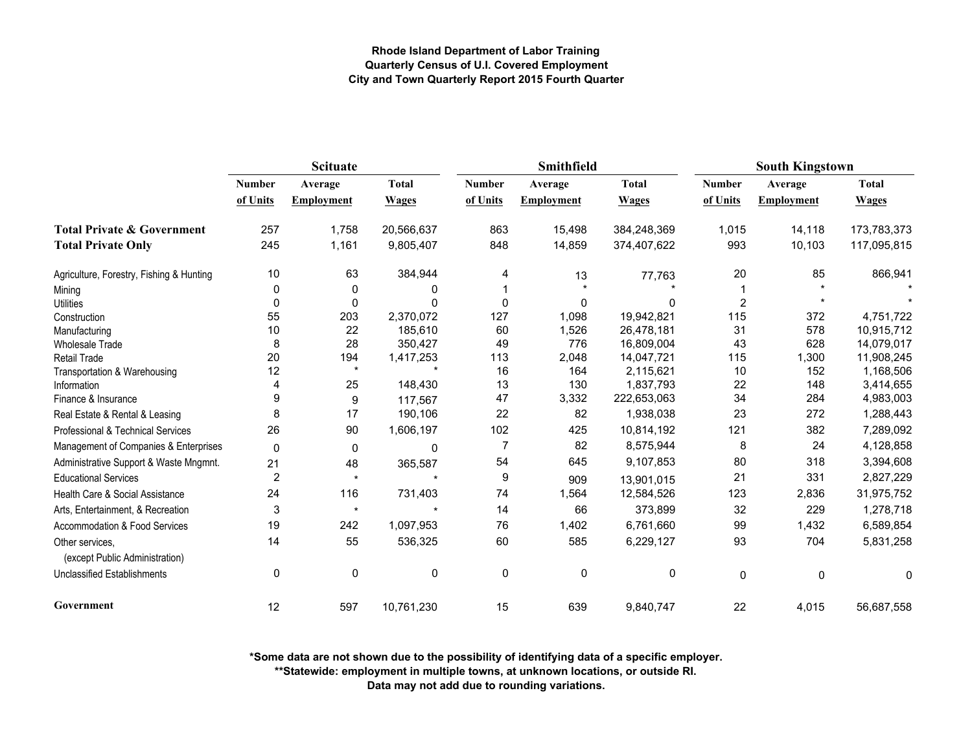|                                                   | <b>Scituate</b> |                   |              |                | Smithfield        |              | <b>South Kingstown</b> |                   |              |
|---------------------------------------------------|-----------------|-------------------|--------------|----------------|-------------------|--------------|------------------------|-------------------|--------------|
|                                                   | <b>Number</b>   | Average           | <b>Total</b> | <b>Number</b>  | Average           | <b>Total</b> | <b>Number</b>          | Average           | <b>Total</b> |
|                                                   | of Units        | <b>Employment</b> | <b>Wages</b> | of Units       | <b>Employment</b> | <b>Wages</b> | of Units               | <b>Employment</b> | <b>Wages</b> |
| <b>Total Private &amp; Government</b>             | 257             | 1,758             | 20,566,637   | 863            | 15,498            | 384,248,369  | 1,015                  | 14,118            | 173,783,373  |
| <b>Total Private Only</b>                         | 245             | 1,161             | 9,805,407    | 848            | 14,859            | 374,407,622  | 993                    | 10,103            | 117,095,815  |
| Agriculture, Forestry, Fishing & Hunting          | 10              | 63                | 384,944      | 4              | 13                | 77,763       | 20                     | 85                | 866,941      |
| Mining                                            | 0               | 0                 | 0            |                |                   |              |                        |                   |              |
| <b>Utilities</b>                                  | $\mathbf 0$     | 0                 | $\Omega$     | $\Omega$       | 0                 | $\Omega$     | $\overline{2}$         |                   |              |
| Construction                                      | 55              | 203               | 2,370,072    | 127            | 1,098             | 19,942,821   | 115                    | 372               | 4,751,722    |
| Manufacturing                                     | 10              | 22                | 185,610      | 60             | 1,526             | 26,478,181   | 31                     | 578               | 10,915,712   |
| <b>Wholesale Trade</b>                            | 8               | 28                | 350,427      | 49             | 776               | 16,809,004   | 43                     | 628               | 14,079,017   |
| Retail Trade                                      | 20              | 194               | 1,417,253    | 113            | 2,048             | 14,047,721   | 115                    | 1,300             | 11,908,245   |
| Transportation & Warehousing                      | 12              | $\star$           |              | 16             | 164               | 2,115,621    | 10                     | 152               | 1,168,506    |
| Information                                       |                 | 25                | 148,430      | 13             | 130               | 1,837,793    | 22                     | 148               | 3,414,655    |
| Finance & Insurance                               | 9               | 9                 | 117,567      | 47             | 3,332             | 222,653,063  | 34                     | 284               | 4,983,003    |
| Real Estate & Rental & Leasing                    | 8               | 17                | 190,106      | 22             | 82                | 1,938,038    | 23                     | 272               | 1,288,443    |
| Professional & Technical Services                 | 26              | 90                | 1,606,197    | 102            | 425               | 10,814,192   | 121                    | 382               | 7,289,092    |
| Management of Companies & Enterprises             | 0               | 0                 | 0            | $\overline{7}$ | 82                | 8,575,944    | 8                      | 24                | 4,128,858    |
| Administrative Support & Waste Mngmnt.            | 21              | 48                | 365,587      | 54             | 645               | 9,107,853    | 80                     | 318               | 3,394,608    |
| <b>Educational Services</b>                       | $\overline{2}$  | $\star$           | $\star$      | 9              | 909               | 13,901,015   | 21                     | 331               | 2,827,229    |
| Health Care & Social Assistance                   | 24              | 116               | 731,403      | 74             | 1,564             | 12,584,526   | 123                    | 2,836             | 31,975,752   |
| Arts, Entertainment, & Recreation                 | 3               | $\star$           | $\star$      | 14             | 66                | 373,899      | 32                     | 229               | 1,278,718    |
| Accommodation & Food Services                     | 19              | 242               | 1,097,953    | 76             | 1,402             | 6,761,660    | 99                     | 1,432             | 6,589,854    |
| Other services.<br>(except Public Administration) | 14              | 55                | 536,325      | 60             | 585               | 6,229,127    | 93                     | 704               | 5,831,258    |
| <b>Unclassified Establishments</b>                | 0               | $\pmb{0}$         | 0            | $\pmb{0}$      | 0                 | 0            | $\mathbf 0$            | 0                 | 0            |
| Government                                        | 12              | 597               | 10,761,230   | 15             | 639               | 9,840,747    | 22                     | 4,015             | 56,687,558   |

**\*Some data are not shown due to the possibility of identifying data of a specific employer.**

**\*\*Statewide: employment in multiple towns, at unknown locations, or outside RI.**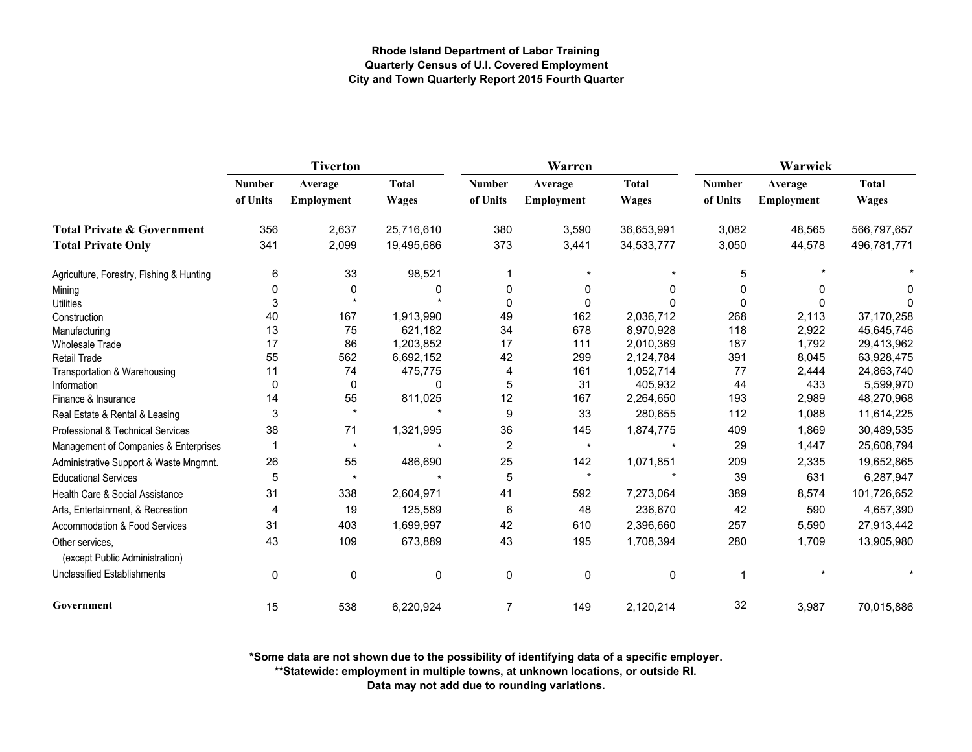|                                                   |               | <b>Tiverton</b>   |              |                | Warren            |              | Warwick       |                   |              |  |
|---------------------------------------------------|---------------|-------------------|--------------|----------------|-------------------|--------------|---------------|-------------------|--------------|--|
|                                                   | <b>Number</b> | Average           | <b>Total</b> | <b>Number</b>  | Average           | <b>Total</b> | <b>Number</b> | Average           | <b>Total</b> |  |
|                                                   | of Units      | <b>Employment</b> | <b>Wages</b> | of Units       | <b>Employment</b> | <b>Wages</b> | of Units      | <b>Employment</b> | <b>Wages</b> |  |
| <b>Total Private &amp; Government</b>             | 356           | 2,637             | 25,716,610   | 380            | 3,590             | 36,653,991   | 3,082         | 48,565            | 566,797,657  |  |
| <b>Total Private Only</b>                         | 341           | 2,099             | 19,495,686   | 373            | 3,441             | 34,533,777   | 3,050         | 44,578            | 496,781,771  |  |
| Agriculture, Forestry, Fishing & Hunting          | 6             | 33                | 98,521       |                | $\star$           |              | 5             |                   |              |  |
| Mining                                            | 0             | 0                 | n            | 0              | 0                 | <sup>0</sup> | $\Omega$      | 0                 | n            |  |
| <b>Utilities</b>                                  | 3             |                   |              | $\Omega$       | 0                 |              | $\Omega$      | 0                 | O            |  |
| Construction                                      | 40            | 167               | 1,913,990    | 49             | 162               | 2,036,712    | 268           | 2,113             | 37,170,258   |  |
| Manufacturing                                     | 13            | 75                | 621,182      | 34             | 678               | 8,970,928    | 118           | 2,922             | 45,645,746   |  |
| <b>Wholesale Trade</b>                            | 17            | 86                | 1,203,852    | 17             | 111               | 2,010,369    | 187           | 1.792             | 29,413,962   |  |
| Retail Trade                                      | 55            | 562               | 6,692,152    | 42             | 299               | 2,124,784    | 391           | 8,045             | 63,928,475   |  |
| Transportation & Warehousing                      | 11            | 74                | 475,775      | 4              | 161               | 1,052,714    | 77            | 2,444             | 24,863,740   |  |
| Information                                       | 0             | 0                 | 0            | 5              | 31                | 405,932      | 44            | 433               | 5,599,970    |  |
| Finance & Insurance                               | 14            | 55                | 811,025      | 12             | 167               | 2,264,650    | 193           | 2,989             | 48,270,968   |  |
| Real Estate & Rental & Leasing                    | 3             | $\star$           |              | 9              | 33                | 280,655      | 112           | 1,088             | 11,614,225   |  |
| Professional & Technical Services                 | 38            | 71                | 1,321,995    | 36             | 145               | 1,874,775    | 409           | 1,869             | 30,489,535   |  |
| Management of Companies & Enterprises             |               | $\star$           |              | $\overline{2}$ | $\star$           |              | 29            | 1,447             | 25,608,794   |  |
| Administrative Support & Waste Mngmnt.            | 26            | 55                | 486,690      | 25             | 142               | 1,071,851    | 209           | 2,335             | 19,652,865   |  |
| <b>Educational Services</b>                       | 5             | $\star$           |              | 5              | $\star$           |              | 39            | 631               | 6,287,947    |  |
| Health Care & Social Assistance                   | 31            | 338               | 2,604,971    | 41             | 592               | 7,273,064    | 389           | 8,574             | 101,726,652  |  |
| Arts, Entertainment, & Recreation                 | 4             | 19                | 125,589      | 6              | 48                | 236,670      | 42            | 590               | 4,657,390    |  |
| Accommodation & Food Services                     | 31            | 403               | 1,699,997    | 42             | 610               | 2,396,660    | 257           | 5,590             | 27,913,442   |  |
| Other services.<br>(except Public Administration) | 43            | 109               | 673,889      | 43             | 195               | 1,708,394    | 280           | 1,709             | 13,905,980   |  |
| <b>Unclassified Establishments</b>                | 0             | 0                 | $\mathbf 0$  | $\mathbf 0$    | 0                 | 0            | -1            |                   |              |  |
| Government                                        | 15            | 538               | 6,220,924    | 7              | 149               | 2,120,214    | 32            | 3,987             | 70,015,886   |  |

**\*Some data are not shown due to the possibility of identifying data of a specific employer.**

**\*\*Statewide: employment in multiple towns, at unknown locations, or outside RI.**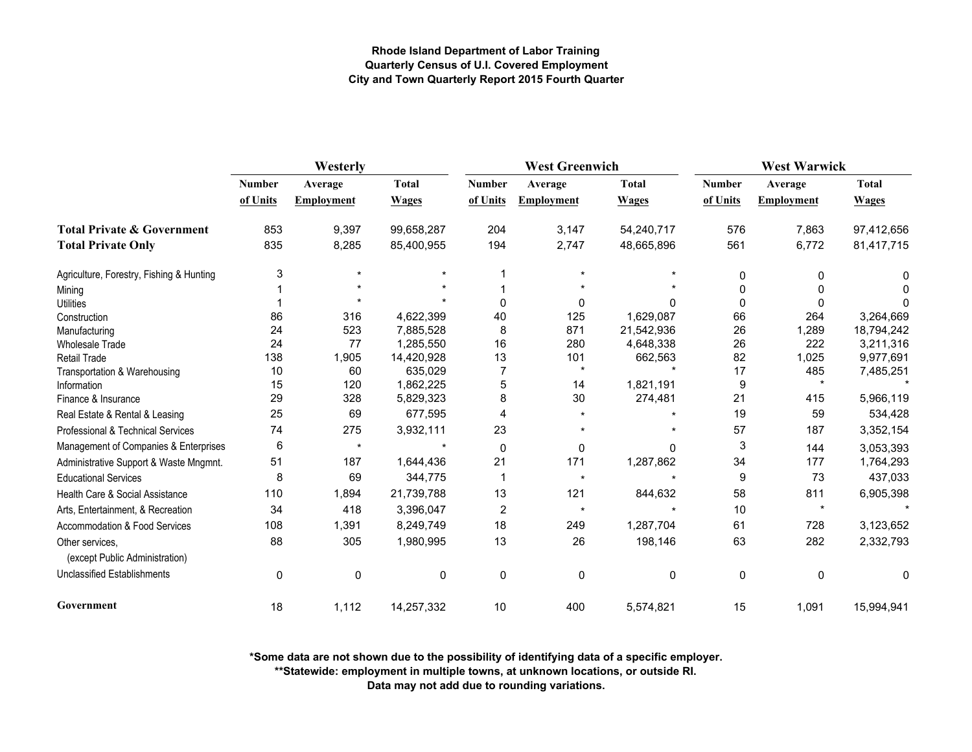|                                                   | Westerly      |                   |              |               | <b>West Greenwich</b> |              | <b>West Warwick</b> |                   |              |
|---------------------------------------------------|---------------|-------------------|--------------|---------------|-----------------------|--------------|---------------------|-------------------|--------------|
|                                                   | <b>Number</b> | Average           | <b>Total</b> | <b>Number</b> | Average               | <b>Total</b> | <b>Number</b>       | Average           | <b>Total</b> |
|                                                   | of Units      | <b>Employment</b> | <b>Wages</b> | of Units      | <b>Employment</b>     | <b>Wages</b> | of Units            | <b>Employment</b> | <b>Wages</b> |
| <b>Total Private &amp; Government</b>             | 853           | 9,397             | 99,658,287   | 204           | 3,147                 | 54,240,717   | 576                 | 7,863             | 97,412,656   |
| <b>Total Private Only</b>                         | 835           | 8,285             | 85,400,955   | 194           | 2,747                 | 48,665,896   | 561                 | 6,772             | 81,417,715   |
| Agriculture, Forestry, Fishing & Hunting          | 3             |                   |              |               |                       |              | $\Omega$            | $\Omega$          |              |
| Mining                                            |               |                   |              |               |                       |              | $\Omega$            | 0                 |              |
| <b>Utilities</b>                                  |               |                   |              | $\Omega$      | $\Omega$              | 0            | $\Omega$            | 0                 |              |
| Construction                                      | 86            | 316               | 4,622,399    | 40            | 125                   | 1,629,087    | 66                  | 264               | 3,264,669    |
| Manufacturing                                     | 24            | 523               | 7,885,528    | 8             | 871                   | 21,542,936   | 26                  | 1,289             | 18,794,242   |
| Wholesale Trade                                   | 24            | 77                | 1,285,550    | 16            | 280                   | 4,648,338    | 26                  | 222               | 3,211,316    |
| <b>Retail Trade</b>                               | 138           | 1,905             | 14,420,928   | 13            | 101                   | 662,563      | 82                  | 1,025             | 9,977,691    |
| Transportation & Warehousing                      | 10            | 60                | 635,029      | 7             |                       |              | 17                  | 485               | 7,485,251    |
| Information                                       | 15            | 120               | 1,862,225    | 5             | 14                    | 1,821,191    | 9                   | $\star$           |              |
| Finance & Insurance                               | 29            | 328               | 5,829,323    | 8             | 30                    | 274,481      | 21                  | 415               | 5,966,119    |
| Real Estate & Rental & Leasing                    | 25            | 69                | 677,595      | 4             |                       |              | 19                  | 59                | 534,428      |
| Professional & Technical Services                 | 74            | 275               | 3,932,111    | 23            |                       |              | 57                  | 187               | 3,352,154    |
| Management of Companies & Enterprises             | 6             | $\star$           |              | $\mathbf 0$   | $\mathbf{0}$          | <sup>0</sup> | 3                   | 144               | 3,053,393    |
| Administrative Support & Waste Mngmnt.            | 51            | 187               | 1,644,436    | 21            | 171                   | 1,287,862    | 34                  | 177               | 1,764,293    |
| <b>Educational Services</b>                       | 8             | 69                | 344,775      |               | $\star$               |              | 9                   | 73                | 437,033      |
| Health Care & Social Assistance                   | 110           | 1,894             | 21,739,788   | 13            | 121                   | 844,632      | 58                  | 811               | 6,905,398    |
| Arts, Entertainment, & Recreation                 | 34            | 418               | 3,396,047    | 2             | $\star$               |              | 10                  | $\star$           |              |
| <b>Accommodation &amp; Food Services</b>          | 108           | 1,391             | 8,249,749    | 18            | 249                   | 1,287,704    | 61                  | 728               | 3,123,652    |
| Other services,<br>(except Public Administration) | 88            | 305               | 1,980,995    | 13            | 26                    | 198,146      | 63                  | 282               | 2,332,793    |
| <b>Unclassified Establishments</b>                | 0             | 0                 | 0            | 0             | $\mathbf 0$           | 0            | $\mathbf 0$         | 0                 | 0            |
| Government                                        | 18            | 1,112             | 14,257,332   | 10            | 400                   | 5,574,821    | 15                  | 1,091             | 15,994,941   |

**\*Some data are not shown due to the possibility of identifying data of a specific employer.**

**\*\*Statewide: employment in multiple towns, at unknown locations, or outside RI.**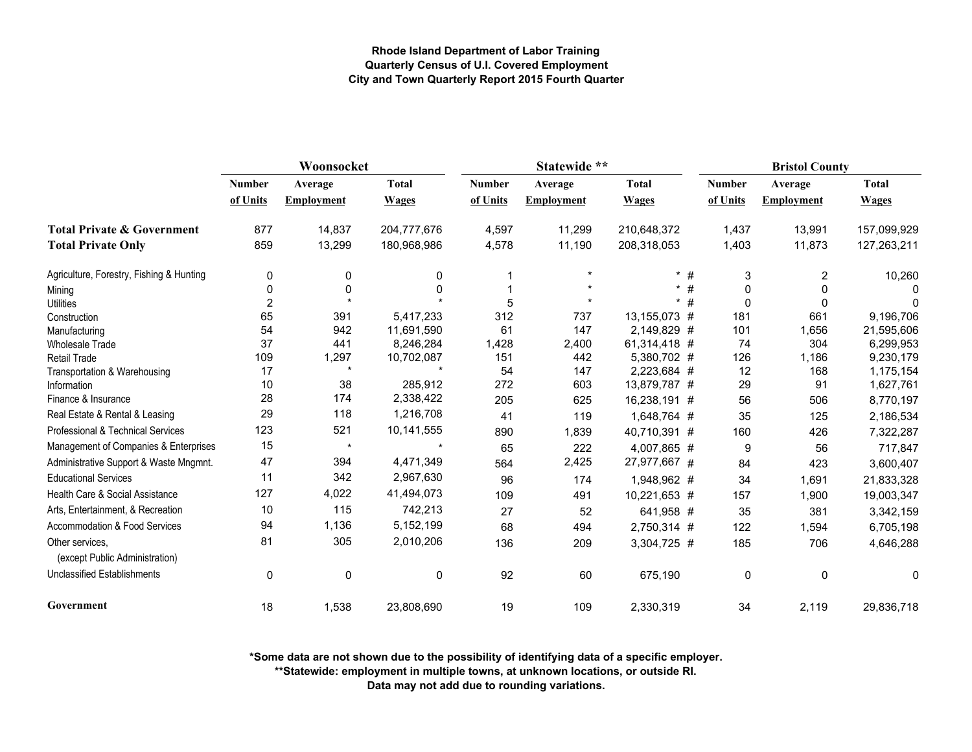|                                                   | Woonsocket     |                   |              |               | Statewide **      |              |               | <b>Bristol County</b> |              |  |  |
|---------------------------------------------------|----------------|-------------------|--------------|---------------|-------------------|--------------|---------------|-----------------------|--------------|--|--|
|                                                   | <b>Number</b>  | Average           | <b>Total</b> | <b>Number</b> | Average           | <b>Total</b> | <b>Number</b> | Average               | <b>Total</b> |  |  |
|                                                   | of Units       | <b>Employment</b> | <b>Wages</b> | of Units      | <b>Employment</b> | <b>Wages</b> | of Units      | <b>Employment</b>     | <b>Wages</b> |  |  |
| <b>Total Private &amp; Government</b>             | 877            | 14,837            | 204,777,676  | 4,597         | 11,299            | 210,648,372  | 1,437         | 13,991                | 157,099,929  |  |  |
| <b>Total Private Only</b>                         | 859            | 13,299            | 180,968,986  | 4,578         | 11,190            | 208,318,053  | 1,403         | 11,873                | 127,263,211  |  |  |
| Agriculture, Forestry, Fishing & Hunting          | 0              | 0                 | 0            |               | $\star$           | $*$ #        | 3             | 2                     | 10,260       |  |  |
| Mining                                            | 0              | $\mathbf 0$       | 0            |               |                   | #<br>$\star$ | $\Omega$      | 0                     |              |  |  |
| <b>Utilities</b>                                  | $\overline{2}$ |                   |              | 5             |                   | #<br>$\star$ | $\Omega$      | 0                     | 0            |  |  |
| Construction                                      | 65             | 391               | 5,417,233    | 312           | 737               | 13,155,073 # | 181           | 661                   | 9,196,706    |  |  |
| Manufacturing                                     | 54             | 942               | 11,691,590   | 61            | 147               | 2,149,829 #  | 101           | 1,656                 | 21,595,606   |  |  |
| <b>Wholesale Trade</b>                            | 37             | 441               | 8,246,284    | 1,428         | 2,400             | 61,314,418 # | 74            | 304                   | 6,299,953    |  |  |
| <b>Retail Trade</b>                               | 109            | 1,297             | 10,702,087   | 151           | 442               | 5,380,702 #  | 126           | 1,186                 | 9,230,179    |  |  |
| Transportation & Warehousing                      | 17             | $\star$           |              | 54            | 147               | 2,223,684 #  | 12            | 168                   | 1,175,154    |  |  |
| Information                                       | 10             | 38                | 285,912      | 272           | 603               | 13,879,787 # | 29            | 91                    | 1,627,761    |  |  |
| Finance & Insurance                               | 28             | 174               | 2,338,422    | 205           | 625               | 16,238,191 # | 56            | 506                   | 8,770,197    |  |  |
| Real Estate & Rental & Leasing                    | 29             | 118               | 1,216,708    | 41            | 119               | 1,648,764 #  | 35            | 125                   | 2,186,534    |  |  |
| Professional & Technical Services                 | 123            | 521               | 10,141,555   | 890           | 1,839             | 40,710,391 # | 160           | 426                   | 7,322,287    |  |  |
| Management of Companies & Enterprises             | 15             | $\star$           |              | 65            | 222               | 4,007,865 #  | 9             | 56                    | 717,847      |  |  |
| Administrative Support & Waste Mngmnt.            | 47             | 394               | 4,471,349    | 564           | 2,425             | 27,977,667 # | 84            | 423                   | 3,600,407    |  |  |
| <b>Educational Services</b>                       | 11             | 342               | 2,967,630    | 96            | 174               | 1,948,962 #  | 34            | 1,691                 | 21,833,328   |  |  |
| Health Care & Social Assistance                   | 127            | 4,022             | 41,494,073   | 109           | 491               | 10,221,653 # | 157           | 1,900                 | 19,003,347   |  |  |
| Arts, Entertainment, & Recreation                 | 10             | 115               | 742,213      | 27            | 52                | 641,958 #    | 35            | 381                   | 3,342,159    |  |  |
| Accommodation & Food Services                     | 94             | 1,136             | 5,152,199    | 68            | 494               | 2,750,314 #  | 122           | 1,594                 | 6,705,198    |  |  |
| Other services,<br>(except Public Administration) | 81             | 305               | 2,010,206    | 136           | 209               | 3,304,725 #  | 185           | 706                   | 4,646,288    |  |  |
| <b>Unclassified Establishments</b>                | 0              | $\mathbf 0$       | 0            | 92            | 60                | 675,190      | 0             | 0                     | 0            |  |  |
| Government                                        | 18             | 1,538             | 23,808,690   | 19            | 109               | 2,330,319    | 34            | 2,119                 | 29,836,718   |  |  |

**\*Some data are not shown due to the possibility of identifying data of a specific employer.**

**\*\*Statewide: employment in multiple towns, at unknown locations, or outside RI.**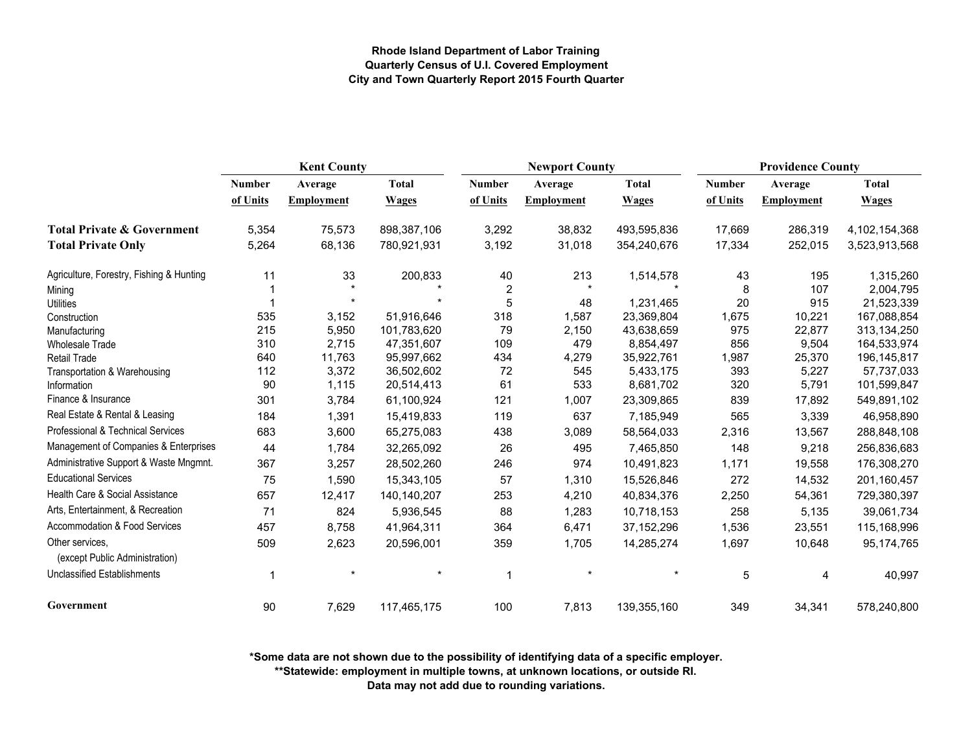|                                                   | <b>Kent County</b> |                   |              |               | <b>Newport County</b> |              | <b>Providence County</b> |                   |               |
|---------------------------------------------------|--------------------|-------------------|--------------|---------------|-----------------------|--------------|--------------------------|-------------------|---------------|
|                                                   | Number             | Average           | <b>Total</b> | <b>Number</b> | Average               | <b>Total</b> | <b>Number</b>            | Average           | <b>Total</b>  |
|                                                   | of Units           | <b>Employment</b> | <b>Wages</b> | of Units      | Employment            | <b>Wages</b> | of Units                 | <b>Employment</b> | <b>Wages</b>  |
| <b>Total Private &amp; Government</b>             | 5,354              | 75,573            | 898,387,106  | 3,292         | 38,832                | 493,595,836  | 17,669                   | 286,319           | 4,102,154,368 |
| <b>Total Private Only</b>                         | 5,264              | 68,136            | 780,921,931  | 3,192         | 31,018                | 354,240,676  | 17,334                   | 252,015           | 3,523,913,568 |
| Agriculture, Forestry, Fishing & Hunting          | 11                 | 33                | 200,833      | 40            | 213                   | 1,514,578    | 43                       | 195               | 1,315,260     |
| Mining                                            |                    |                   |              | 2             |                       |              | 8                        | 107               | 2,004,795     |
| <b>Utilities</b>                                  |                    |                   |              | 5             | 48                    | 1,231,465    | 20                       | 915               | 21,523,339    |
| Construction                                      | 535                | 3,152             | 51,916,646   | 318           | 1,587                 | 23,369,804   | 1,675                    | 10,221            | 167,088,854   |
| Manufacturing                                     | 215                | 5,950             | 101,783,620  | 79            | 2,150                 | 43,638,659   | 975                      | 22,877            | 313,134,250   |
| <b>Wholesale Trade</b>                            | 310                | 2,715             | 47,351,607   | 109           | 479                   | 8,854,497    | 856                      | 9,504             | 164,533,974   |
| <b>Retail Trade</b>                               | 640                | 11,763            | 95,997,662   | 434           | 4,279                 | 35,922,761   | 1,987                    | 25,370            | 196, 145, 817 |
| Transportation & Warehousing                      | 112                | 3,372             | 36,502,602   | 72            | 545                   | 5,433,175    | 393                      | 5,227             | 57,737,033    |
| Information                                       | 90                 | 1,115             | 20,514,413   | 61            | 533                   | 8,681,702    | 320                      | 5,791             | 101,599,847   |
| Finance & Insurance                               | 301                | 3,784             | 61,100,924   | 121           | 1,007                 | 23,309,865   | 839                      | 17,892            | 549,891,102   |
| Real Estate & Rental & Leasing                    | 184                | 1,391             | 15,419,833   | 119           | 637                   | 7,185,949    | 565                      | 3,339             | 46,958,890    |
| Professional & Technical Services                 | 683                | 3,600             | 65,275,083   | 438           | 3,089                 | 58,564,033   | 2,316                    | 13,567            | 288,848,108   |
| Management of Companies & Enterprises             | 44                 | 1,784             | 32,265,092   | 26            | 495                   | 7,465,850    | 148                      | 9,218             | 256,836,683   |
| Administrative Support & Waste Mngmnt.            | 367                | 3,257             | 28,502,260   | 246           | 974                   | 10,491,823   | 1,171                    | 19,558            | 176,308,270   |
| <b>Educational Services</b>                       | 75                 | 1,590             | 15,343,105   | 57            | 1,310                 | 15,526,846   | 272                      | 14,532            | 201,160,457   |
| Health Care & Social Assistance                   | 657                | 12,417            | 140,140,207  | 253           | 4,210                 | 40,834,376   | 2,250                    | 54,361            | 729,380,397   |
| Arts, Entertainment, & Recreation                 | 71                 | 824               | 5,936,545    | 88            | 1,283                 | 10,718,153   | 258                      | 5,135             | 39,061,734    |
| Accommodation & Food Services                     | 457                | 8,758             | 41,964,311   | 364           | 6,471                 | 37, 152, 296 | 1,536                    | 23,551            | 115,168,996   |
| Other services.<br>(except Public Administration) | 509                | 2,623             | 20,596,001   | 359           | 1,705                 | 14,285,274   | 1,697                    | 10,648            | 95,174,765    |
| <b>Unclassified Establishments</b>                | 1                  |                   |              | $\mathbf{1}$  | $\star$               |              | 5                        | 4                 | 40,997        |
| Government                                        | 90                 | 7,629             | 117,465,175  | 100           | 7,813                 | 139,355,160  | 349                      | 34,341            | 578,240,800   |

**\*Some data are not shown due to the possibility of identifying data of a specific employer.**

**\*\*Statewide: employment in multiple towns, at unknown locations, or outside RI.**